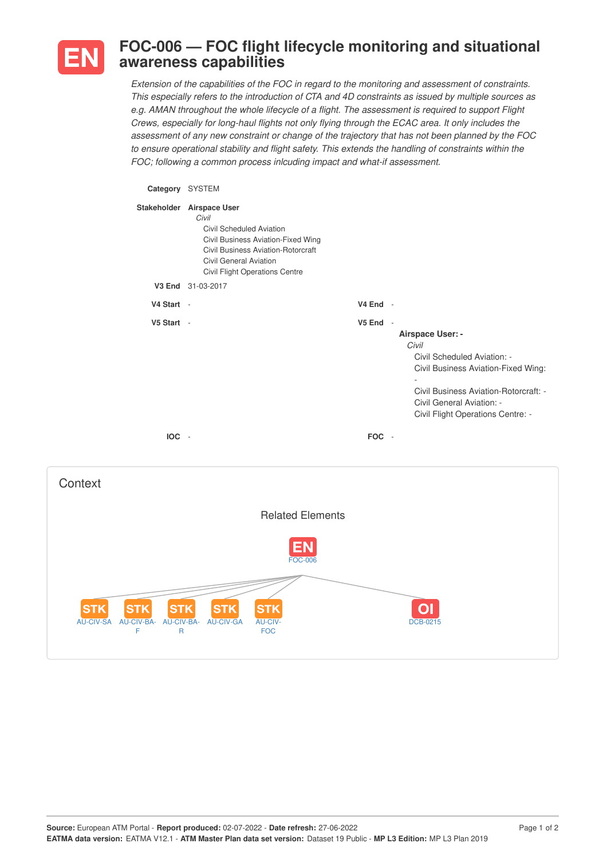

## **FOC-006 — FOC flight lifecycle monitoring and situational awareness capabilities**

*Extension of the capabilities of the FOC in regard to the monitoring and assessment of constraints. This especially refers to the introduction of CTA and 4D constraints as issued by multiple sources as e.g. AMAN throughout the whole lifecycle of a flight. The assessment is required to support Flight Crews, especially for long-haul flights not only flying through the ECAC area. It only includes the assessment of any new constraint or change of the trajectory that has not been planned by the FOC to ensure operational stability and flight safety. This extends the handling of constraints within the FOC; following a common process inlcuding impact and what-if assessment.*

## **Category** SYSTEM